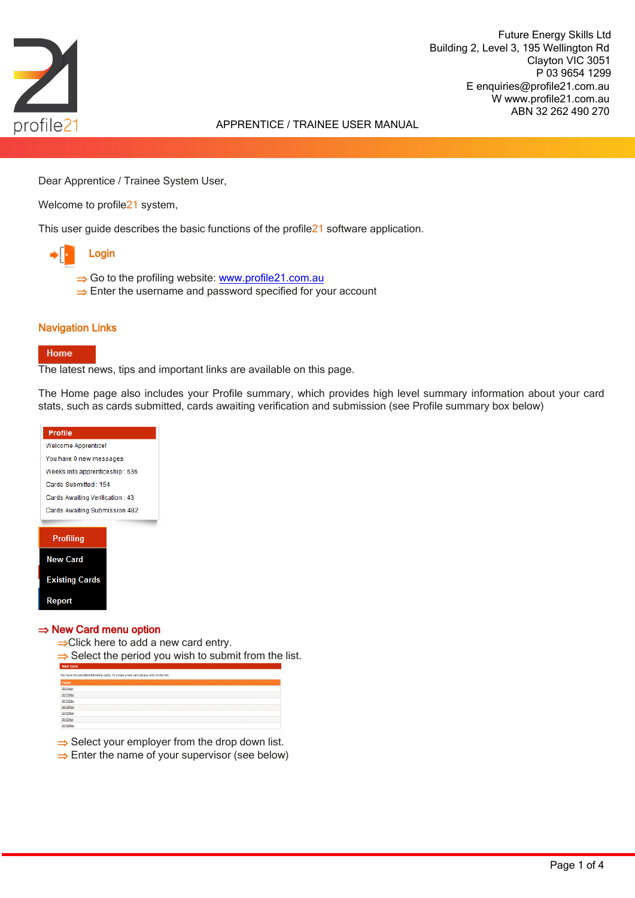

Future Energy Skills Ltd<br>
Building 2, Level 3, 195 Wellington Rd<br>
Clayton VIC 3051<br>
P 03 9654 1299<br>
E enquiries@profile21.com.au<br>
W www.profile21.com.au<br>APPRENTICE / TRAINEE USER MANUAL<br>ABN 32 262 490 270 Building 2, Level 3, 195 Wellington Rd Clayton VIC 3051 P 03 9654 1299 E enquiries@profile21.com.au W www.profile21.com.au ABN 32 262 490 270

Dear Apprentice / Trainee System User,

Welcome to profile<sup>21</sup> system,

This user guide describes the basic functions of the profile21 software application.



- $\Rightarrow$  Go to the profiling website: [www.profile21.com.au](http://www.profile21.com.au/)
- $\Rightarrow$  Enter the username and password specified for your account

# Navigation Links

### Home

The latest news, tips and important links are available on this page.

The Home page also includes your Profile summary, which provides high level summary information about your card stats, such as cards submitted, cards awaiting verification and submission (see Profile summary box below)



| <b>New Card</b> |                                                                                        |
|-----------------|----------------------------------------------------------------------------------------|
|                 | You have not submitted following cards. To create a new card please click on the link. |
| Period          |                                                                                        |
| 2011/Apr        |                                                                                        |
| 2011/May        |                                                                                        |
| 2011/Dec        |                                                                                        |
| 2012/Feb        |                                                                                        |
| 2012Mar         |                                                                                        |
| 2012/Apr        |                                                                                        |
| 2012/May        |                                                                                        |

 $\Rightarrow$  Select your employer from the drop down list.

 $\Rightarrow$  Enter the name of your supervisor (see below)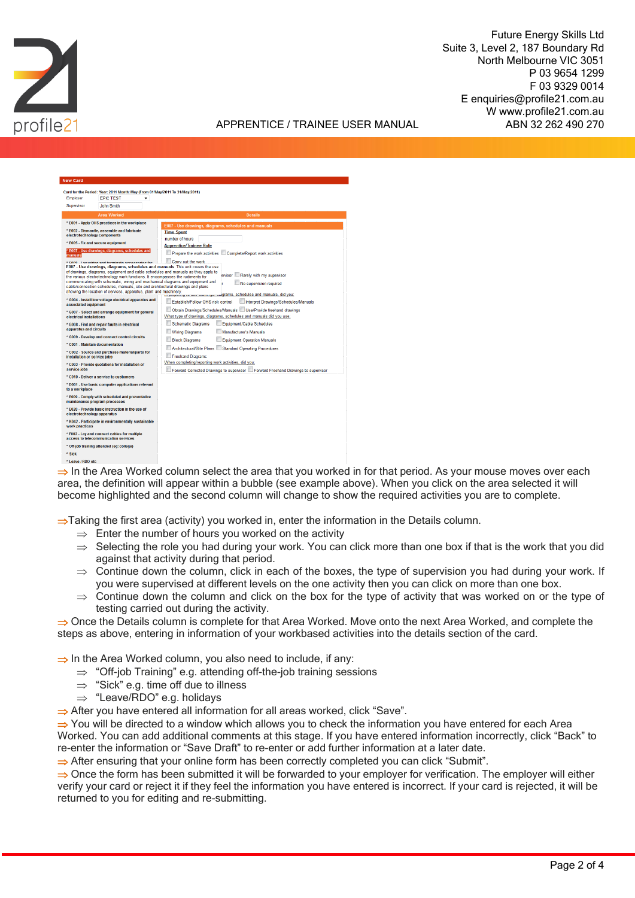

Future Energy Skills Ltd<br>
Suite 3, Level 2, 187 Boundary Rd<br>
North Melbourne VIC 3051<br>
P 03 9654 1299<br>
F 03 9329 0014<br>E enquiries@profile21.com.au<br>W www.profile21.com.au<br>APPRENTICE / TRAINEE USER MANUAL<br>ABN 32 262 490 270 Suite 3, Level 2, 187 Boundary Rd North Melbourne VIC 3051 P 03 9654 1299 F 03 9329 0014 E enquiries@profile21.com.au W www.profile21.com.au ABN 32 262 490 270

| <b>New Card</b>                                                                       |                                                                                                                                                                                                                                                                                                                                                                                                                                                                                                                                                                                                                                                                                                                                                                                                                                                                                                                                        |                                                                                                                                                                                                                                                                                                                                                                                                                                                                                                                                                                                                                                                                                                                                                    |  |  |  |  |
|---------------------------------------------------------------------------------------|----------------------------------------------------------------------------------------------------------------------------------------------------------------------------------------------------------------------------------------------------------------------------------------------------------------------------------------------------------------------------------------------------------------------------------------------------------------------------------------------------------------------------------------------------------------------------------------------------------------------------------------------------------------------------------------------------------------------------------------------------------------------------------------------------------------------------------------------------------------------------------------------------------------------------------------|----------------------------------------------------------------------------------------------------------------------------------------------------------------------------------------------------------------------------------------------------------------------------------------------------------------------------------------------------------------------------------------------------------------------------------------------------------------------------------------------------------------------------------------------------------------------------------------------------------------------------------------------------------------------------------------------------------------------------------------------------|--|--|--|--|
| <b>Employer</b>                                                                       | Card for the Period : Year: 2011 Month: May (From 01/May/2011 To 31/May/2011)<br><b>EPIC TEST</b>                                                                                                                                                                                                                                                                                                                                                                                                                                                                                                                                                                                                                                                                                                                                                                                                                                      |                                                                                                                                                                                                                                                                                                                                                                                                                                                                                                                                                                                                                                                                                                                                                    |  |  |  |  |
| Supervisor                                                                            | <b>John Smith</b>                                                                                                                                                                                                                                                                                                                                                                                                                                                                                                                                                                                                                                                                                                                                                                                                                                                                                                                      |                                                                                                                                                                                                                                                                                                                                                                                                                                                                                                                                                                                                                                                                                                                                                    |  |  |  |  |
|                                                                                       | <b>Area Worked</b>                                                                                                                                                                                                                                                                                                                                                                                                                                                                                                                                                                                                                                                                                                                                                                                                                                                                                                                     | <b>Details</b>                                                                                                                                                                                                                                                                                                                                                                                                                                                                                                                                                                                                                                                                                                                                     |  |  |  |  |
|                                                                                       | * E001 - Apply OHS practices in the workplace                                                                                                                                                                                                                                                                                                                                                                                                                                                                                                                                                                                                                                                                                                                                                                                                                                                                                          |                                                                                                                                                                                                                                                                                                                                                                                                                                                                                                                                                                                                                                                                                                                                                    |  |  |  |  |
| manuals<br>associated equipment<br>electrical installations<br>apparatus and circuits | * E002 - Dismantle, assemble and fabricate<br>electrotechnology components<br>* E005 - Fix and secure equipment<br>* E007 - Use drawings, diagrams, schedules and<br>* E009 I av wiring and forminate accorporate for<br>E007 - Use drawings, diagrams, schedules and manuals This unit covers the use<br>of drawings, diagrams, equipment and cable schedules and manuals as they apply to<br>the various electrotechnology work functions. It encompasses the rudiments for<br>communicating with schematic, wiring and mechanical diagrams and equipment and<br>cable/connection schedules, manuals, site and architectural drawings and plans<br>showing the location of services, apparatus, plant and machinery.<br>* G004 - Install low voltage electrical apparatus and<br>* G007 - Select and arrange equipment for general<br>* G008 - Find and repair faults in electrical<br>* G009 - Develop and connect control circuits | E007 - Use drawings, diagrams, schedules and manuals<br><b>Time Spent</b><br>number of hours<br><b>Apprentice/Trainee Role</b><br>Prepare the work activities Complete/Report work activities<br>Carry out the work<br>Rarely with my supervisor<br>ervisor<br>No supervision required<br>www.www.www.wigrams, schedules and manuals, did you:<br>Establish/Follow OHS risk control<br>Interpret Drawings/Schedules/Manuals<br>Obtain Drawings/Schedules/Manuals Use/Provide freehand drawings<br>What type of drawings, diagrams, schedules and manuals did you use;<br>Equipment/Cable Schedules<br><b>Schematic Diagrams</b><br><b>Wiring Diagrams</b><br>Manufacturer's Manuals<br><b>Block Diagrams</b><br><b>Equipment Operation Manuals</b> |  |  |  |  |
| installation or service jobs<br>service jobs                                          | * C001 . Maintain documentation<br>* C002 - Source and purchase material/parts for<br>* C003 - Provide quotations for installation or                                                                                                                                                                                                                                                                                                                                                                                                                                                                                                                                                                                                                                                                                                                                                                                                  | <b>Standard Operating Procedures</b><br><b>Architectural/Site Plans</b><br><b>Freehand Diagrams</b><br>When completing/reporting work activities, did you;<br>Forward Corrected Drawings to supervisor E Forward Freehand Drawings to supervisor                                                                                                                                                                                                                                                                                                                                                                                                                                                                                                   |  |  |  |  |
|                                                                                       | * C010 - Deliver a service to customers                                                                                                                                                                                                                                                                                                                                                                                                                                                                                                                                                                                                                                                                                                                                                                                                                                                                                                |                                                                                                                                                                                                                                                                                                                                                                                                                                                                                                                                                                                                                                                                                                                                                    |  |  |  |  |
| to a workplace                                                                        | * D001 - Use basic computer applications relevant                                                                                                                                                                                                                                                                                                                                                                                                                                                                                                                                                                                                                                                                                                                                                                                                                                                                                      |                                                                                                                                                                                                                                                                                                                                                                                                                                                                                                                                                                                                                                                                                                                                                    |  |  |  |  |
|                                                                                       | * E009 - Comply with scheduled and preventative<br>maintenance program processes                                                                                                                                                                                                                                                                                                                                                                                                                                                                                                                                                                                                                                                                                                                                                                                                                                                       |                                                                                                                                                                                                                                                                                                                                                                                                                                                                                                                                                                                                                                                                                                                                                    |  |  |  |  |
| electrotechnology apparatus                                                           | * E020 - Provide basic instruction in the use of                                                                                                                                                                                                                                                                                                                                                                                                                                                                                                                                                                                                                                                                                                                                                                                                                                                                                       |                                                                                                                                                                                                                                                                                                                                                                                                                                                                                                                                                                                                                                                                                                                                                    |  |  |  |  |
| work practices                                                                        | * K042 - Participate in environmentally sustainable                                                                                                                                                                                                                                                                                                                                                                                                                                                                                                                                                                                                                                                                                                                                                                                                                                                                                    |                                                                                                                                                                                                                                                                                                                                                                                                                                                                                                                                                                                                                                                                                                                                                    |  |  |  |  |
|                                                                                       | * F002 - Lay and connect cables for multiple<br>access to telecommunication services                                                                                                                                                                                                                                                                                                                                                                                                                                                                                                                                                                                                                                                                                                                                                                                                                                                   |                                                                                                                                                                                                                                                                                                                                                                                                                                                                                                                                                                                                                                                                                                                                                    |  |  |  |  |
|                                                                                       | * Off-job training attended (eg: college)                                                                                                                                                                                                                                                                                                                                                                                                                                                                                                                                                                                                                                                                                                                                                                                                                                                                                              |                                                                                                                                                                                                                                                                                                                                                                                                                                                                                                                                                                                                                                                                                                                                                    |  |  |  |  |
| * Sick                                                                                |                                                                                                                                                                                                                                                                                                                                                                                                                                                                                                                                                                                                                                                                                                                                                                                                                                                                                                                                        |                                                                                                                                                                                                                                                                                                                                                                                                                                                                                                                                                                                                                                                                                                                                                    |  |  |  |  |
| * Leave / RDO etc.                                                                    |                                                                                                                                                                                                                                                                                                                                                                                                                                                                                                                                                                                                                                                                                                                                                                                                                                                                                                                                        |                                                                                                                                                                                                                                                                                                                                                                                                                                                                                                                                                                                                                                                                                                                                                    |  |  |  |  |

 $\Rightarrow$  In the Area Worked column select the area that you worked in for that period. As your mouse moves over each area, the definition will appear within a bubble (see example above). When you click on the area selected it will become highlighted and the second column will change to show the required activities you are to complete.

 $\Rightarrow$  Taking the first area (activity) you worked in, enter the information in the Details column.

- $\Rightarrow$  Enter the number of hours you worked on the activity
- $\Rightarrow$  Selecting the role you had during your work. You can click more than one box if that is the work that you did against that activity during that period.
- $\Rightarrow$  Continue down the column, click in each of the boxes, the type of supervision you had during your work. If you were supervised at different levels on the one activity then you can click on more than one box.
- $\Rightarrow$  Continue down the column and click on the box for the type of activity that was worked on or the type of testing carried out during the activity.

 $\Rightarrow$  Once the Details column is complete for that Area Worked. Move onto the next Area Worked, and complete the steps as above, entering in information of your workbased activities into the details section of the card.

 $\Rightarrow$  In the Area Worked column, you also need to include, if any:

- $\Rightarrow$  "Off-job Training" e.g. attending off-the-job training sessions
- $\Rightarrow$  "Sick" e.g. time off due to illness
- $\Rightarrow$  "Leave/RDO" e.g. holidays

 $\Rightarrow$  After you have entered all information for all areas worked, click "Save".

 $\Rightarrow$  You will be directed to a window which allows you to check the information you have entered for each Area Worked. You can add additional comments at this stage. If you have entered information incorrectly, click "Back" to re-enter the information or "Save Draft" to re-enter or add further information at a later date.

 $\Rightarrow$  After ensuring that your online form has been correctly completed you can click "Submit".

 $\Rightarrow$  Once the form has been submitted it will be forwarded to your employer for verification. The employer will either verify your card or reject it if they feel the information you have entered is incorrect. If your card is rejected, it will be returned to you for editing and re-submitting.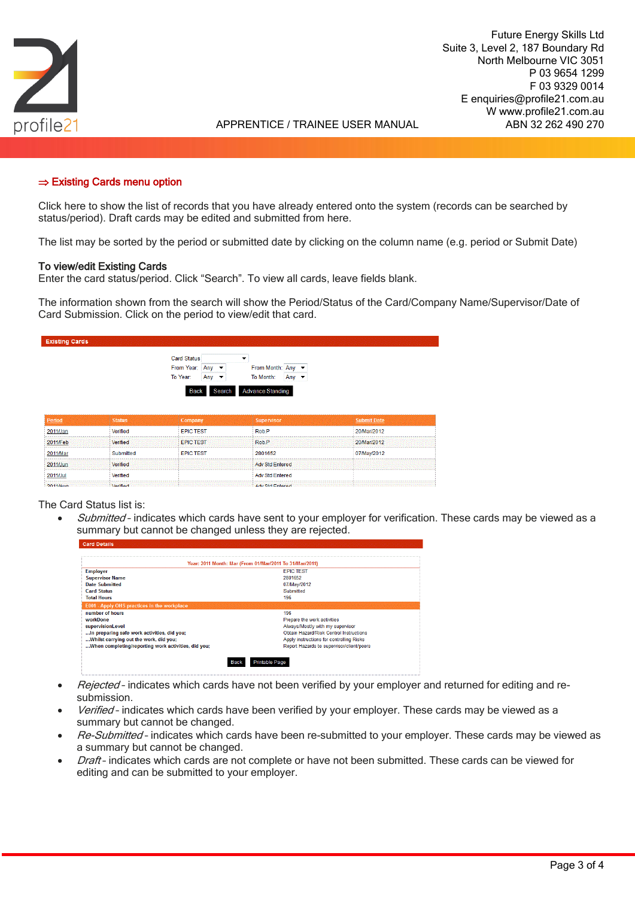

# $\Rightarrow$  Existing Cards menu option

Click here to show the list of records that you have already entered onto the system (records can be searched by status/period). Draft cards may be edited and submitted from here.

The list may be sorted by the period or submitted date by clicking on the column name (e.g. period or Submit Date)

### To view/edit Existing Cards

Enter the card status/period. Click "Search". To view all cards, leave fields blank.

The information shown from the search will show the Period/Status of the Card/Company Name/Supervisor/Date of Card Submission. Click on the period to view/edit that card.

| <b>Existing Cards</b>          |               |                                                                       |                                                                                      |                    |
|--------------------------------|---------------|-----------------------------------------------------------------------|--------------------------------------------------------------------------------------|--------------------|
|                                |               | Card Status<br>From Year: Any<br>To Year:<br>Any $\blacktriangledown$ | $\overline{\phantom{a}}$<br>From Month: Any<br>To Month:<br>Any $\blacktriangledown$ |                    |
|                                |               | Search<br>Back                                                        | <b>Advance Standing</b>                                                              |                    |
|                                |               |                                                                       |                                                                                      |                    |
|                                | <b>Status</b> | Company                                                               | <b>Supervisor</b>                                                                    | <b>Submit Date</b> |
|                                | Verified      | <b>EPIC TEST</b>                                                      | Rob.P                                                                                | 20/Mar/2012        |
| Period<br>2011/Jan<br>2011/Feb | Verified      | <b>EPIC TEST</b>                                                      | Rob.P                                                                                | 20/Mar/2012        |
| 2011/Mar                       | Submitted     | <b>EPIC TEST</b>                                                      | 2801652                                                                              | 07/May/2012        |
|                                | Verified      |                                                                       | <b>Adv Std Entered</b>                                                               |                    |
| 2011/Jun<br>2011/Jul           | Verified      |                                                                       | <b>Adv Std Entered</b>                                                               |                    |

#### The Card Status list is:

Submitted - indicates which cards have sent to your employer for verification. These cards may be viewed as a summary but cannot be changed unless they are rejected.

| Year: 2011 Month: Mar (From 01/Mar/2011 To 31/Mar/2011) |                                           |  |  |  |  |  |
|---------------------------------------------------------|-------------------------------------------|--|--|--|--|--|
| <b>Employer</b>                                         | <b>EPIC TEST</b>                          |  |  |  |  |  |
| <b>Supervisor Name</b>                                  | 2801652                                   |  |  |  |  |  |
| <b>Date Submitted</b>                                   | 07/May/2012                               |  |  |  |  |  |
| <b>Card Status</b>                                      | Submitted                                 |  |  |  |  |  |
| <b>Total Hours</b>                                      | 196                                       |  |  |  |  |  |
| <b>E001 - Apply OHS practices in the workplace</b>      |                                           |  |  |  |  |  |
| number of hours                                         | 196                                       |  |  |  |  |  |
| workDone                                                | Prepare the work activities               |  |  |  |  |  |
| supervisionLevel                                        | Always/Mostly with my supervisor          |  |  |  |  |  |
| In preparing safe work activities, did you;             | Obtain Hazard/Risk Control Instructions   |  |  |  |  |  |
| Whilst carrying out the work, did you;                  | Apply instructions for controlling Risks  |  |  |  |  |  |
| When completing/reporting work activities, did you;     | Report Hazards to supervisor/client/peers |  |  |  |  |  |

- Rejected indicates which cards have not been verified by your employer and returned for editing and resubmission.
- Verified-indicates which cards have been verified by your employer. These cards may be viewed as a summary but cannot be changed.
- Re-Submitted indicates which cards have been re-submitted to your employer. These cards may be viewed as a summary but cannot be changed.
- Draft- indicates which cards are not complete or have not been submitted. These cards can be viewed for editing and can be submitted to your employer.